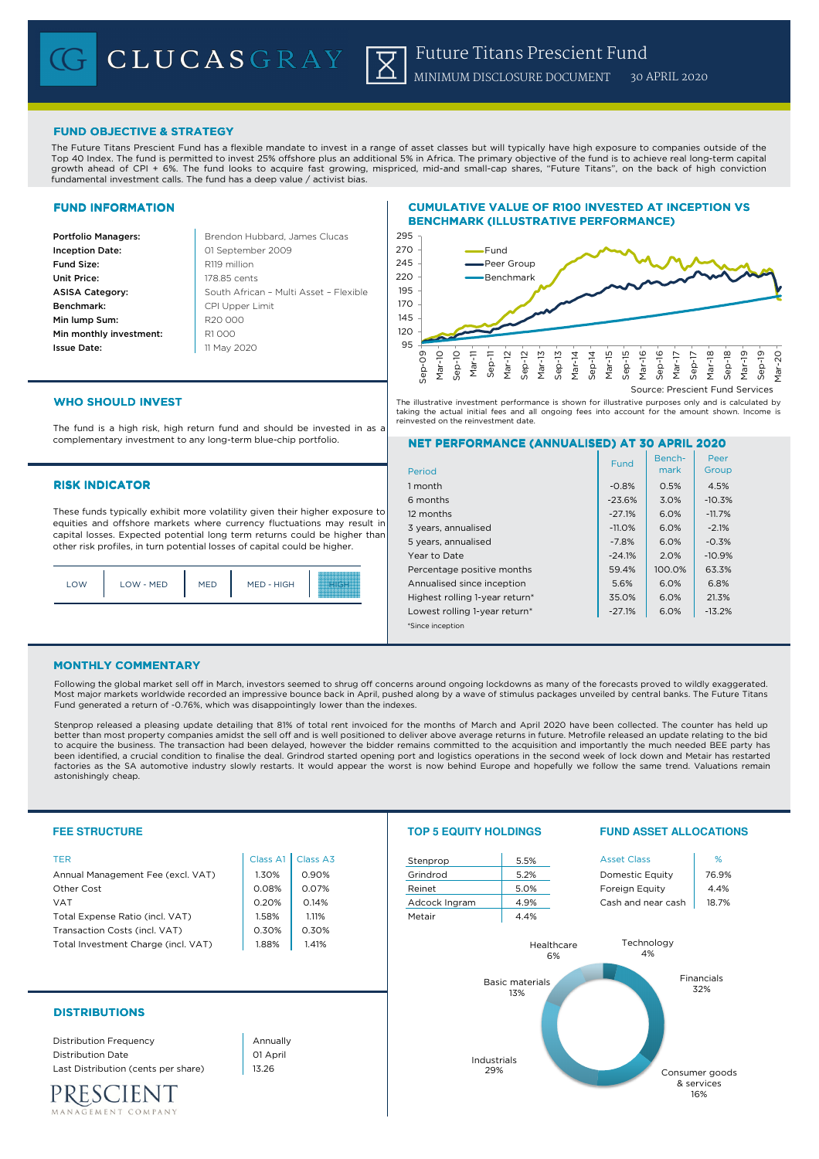# FUND OBJECTIVE & STRATEGY

The Future Titans Prescient Fund has a flexible mandate to invest in a range of asset classes but will typically have high exposure to companies outside of the Top 40 Index. The fund is permitted to invest 25% offshore plus an additional 5% in Africa. The primary objective of the fund is to achieve real long-term capital growth ahead of CPI + 6%. The fund looks to acquire fast growing, mispriced, mid-and small-cap shares, "Future Titans", on the back of high conviction fundamental investment calls. The fund has a deep value / activist bias.

## FUND INFORMATION

**Portfolio Managers: Brendon Hubbard, James Clucas** Inception Date: **Fund Size:** R119 million Unit Price: 178.85 cents ASISA Category: Benchmark: Min lump Sum: Min monthly investment: R1000 Issue Date:

South African – Multi Asset – Flexible 01 September 2009 CPI Upper Limit R20 000 11 May 2020 95

# CUMULATIVE VALUE OF R100 INVESTED AT INCEPTION VS BENCHMARK (ILLUSTRATIVE PERFORMANCE)



The illustrative investment performance is shown for illustrative purposes only and is calculated by taking the actual initial fees and all ongoing fees into account for the amount shown. Income is reinvested on the reinvestment date.

# WHO SHOULD INVEST

The fund is a high risk, high return fund and should be invested in as a complementary investment to any long-term blue-chip portfolio.

## **RISK INDICATOR**

These funds typically exhibit more volatility given their higher exposure to equities and offshore markets where currency fluctuations may result in capital losses. Expected potential long term returns could be higher than other risk profiles, in turn potential losses of capital could be higher.

| LOW | LOW - MED | <b>MED</b> | MED - HIGH |  |
|-----|-----------|------------|------------|--|
|     |           |            |            |  |

# NET PERFORMANCE (ANNUALISED) AT 30 APRIL 2020

|                                | Fund     | Bench- | Peer     |
|--------------------------------|----------|--------|----------|
| Period                         |          | mark   | Group    |
| 1 month                        | $-0.8%$  | 0.5%   | 4.5%     |
| 6 months                       | $-23.6%$ | 3.0%   | $-10.3%$ |
| 12 months                      | $-27.1%$ | 6.0%   | $-11.7%$ |
| 3 years, annualised            | $-11.0%$ | 6.0%   | $-2.1%$  |
| 5 years, annualised            | $-7.8%$  | 6.0%   | $-0.3%$  |
| Year to Date                   | $-24.1%$ | 2.0%   | $-10.9%$ |
| Percentage positive months     | 59.4%    | 100.0% | 63.3%    |
| Annualised since inception     | 5.6%     | 6.0%   | 6.8%     |
| Highest rolling 1-year return* | 35.0%    | 6.0%   | 21.3%    |
| Lowest rolling 1-year return*  | $-27.1%$ | 6.0%   | $-13.2%$ |
| *Since inception               |          |        |          |

## MONTHLY COMMENTARY

Following the global market sell off in March, investors seemed to shrug off concerns around ongoing lockdowns as many of the forecasts proved to wildly exaggerated. Most major markets worldwide recorded an impressive bounce back in April, pushed along by a wave of stimulus packages unveiled by central banks. The Future Titans Fund generated a return of -0.76%, which was disappointingly lower than the indexes.

Stenprop released a pleasing update detailing that 81% of total rent invoiced for the months of March and April 2020 have been collected. The counter has held up better than most property companies amidst the sell off and is well positioned to deliver above average returns in future. Metrofile released an update relating to the bid<br>to acquire the business. The transaction had been been identified, a crucial condition to finalise the deal. Grindrod started opening port and logistics operations in the second week of lock down and Metair has restarted factories as the SA automotive industry slowly restarts. It would appear the worst is now behind Europe and hopefully we follow the same trend. Valuations remain astonishingly cheap.